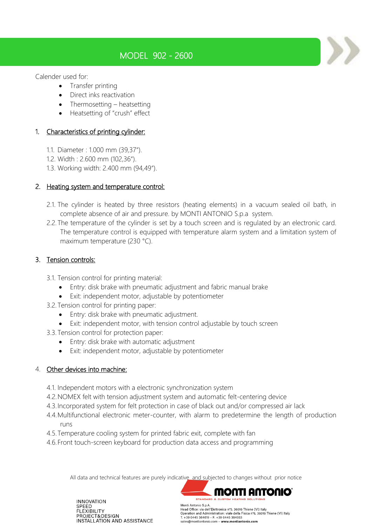# MODEL 902 - 2600

Calender used for:

- Transfer printing
- Direct inks reactivation
- Thermosetting heatsetting
- Heatsetting of "crush" effect

# 1. Characteristics of printing cylinder:

- 1.1. Diameter : 1.000 mm (39,37").
- 1.2. Width : 2.600 mm (102,36").
- 1.3. Working width: 2.400 mm (94,49").

## 2. Heating system and temperature control:

- 2.1. The cylinder is heated by three resistors (heating elements) in a vacuum sealed oil bath, in complete absence of air and pressure. by MONTI ANTONIO S.p.a system.
- 2.2. The temperature of the cylinder is set by a touch screen and is regulated by an electronic card. The temperature control is equipped with temperature alarm system and a limitation system of maximum temperature (230 °C).

# 3. Tension controls:

- 3.1. Tension control for printing material:
	- Entry: disk brake with pneumatic adjustment and fabric manual brake
	- Exit: independent motor, adjustable by potentiometer
- 3.2.Tension control for printing paper:
	- Entry: disk brake with pneumatic adjustment.
	- Exit: independent motor, with tension control adjustable by touch screen
- 3.3.Tension control for protection paper:
	- Entry: disk brake with automatic adjustment
	- Exit: independent motor, adjustable by potentiometer

## 4. Other devices into machine:

- 4.1. Independent motors with a electronic synchronization system
- 4.2.NOMEX felt with tension adjustment system and automatic felt-centering device
- 4.3.Incorporated system for felt protection in case of black out and/or compressed air lack
- 4.4.Multifunctional electronic meter-counter, with alarm to predetermine the length of production runs
- 4.5.Temperature cooling system for printed fabric exit, complete with fan
- 4.6.Front touch-screen keyboard for production data access and programming

All data and technical features are purely indicative and subjected to changes without prior notice



**INNOVATION** SPEED **FLEXIBILITY** PROJECT&DESIGN INSTALLATION AND ASSISTANCE

Head Office: via dell'Elettronica n°5, 36016 Thiene (VI) Italy Operation and Administration: viale della Física n°6, 36016 Thiene (VI) Italy<br>T. +39 0445 364619 - F. +39 0445 364033 sales@montiantonio.com - www.montiantonio.com